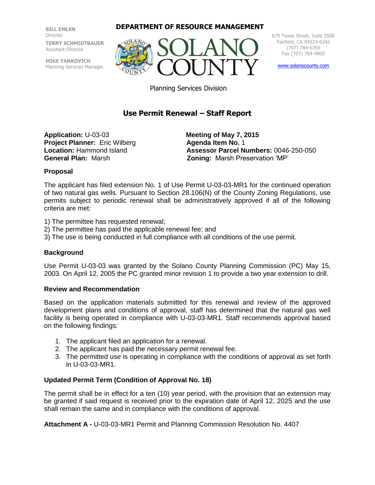**BILL EMLEN** Director **TERRY SCHMIDTBAUER** Assistant Director

**MIKE YANKOVICH** Planning Services Manager

#### **DEPARTMENT OF RESOURCE MANAGEMENT**



675 Texas Street, Suite 5500 Fairfield, CA 94533-6342 (707) 784-6765 Fax (707) 784-4805

[www.solanocounty.com](http://www.solanocounty.com/)

Planning Services Division

# **Use Permit Renewal – Staff Report**

**Application:** U-03-03 **Meeting of May 7, 2015 Project Planner:** Eric Wilberg **Agenda Item No. 1** 

**Location:** Hammond Island **Assessor Parcel Numbers:** 0046-250-050 **General Plan:** Marsh **Zoning:** Marsh Preservation 'MP'

#### **Proposal**

The applicant has filed extension No. 1 of Use Permit U-03-03-MR1 for the continued operation of two natural gas wells. Pursuant to Section 28.106(N) of the County Zoning Regulations, use permits subject to periodic renewal shall be administratively approved if all of the following criteria are met:

- 1) The permittee has requested renewal;
- 2) The permittee has paid the applicable renewal fee; and
- 3) The use is being conducted in full compliance with all conditions of the use permit.

#### **Background**

Use Permit U-03-03 was granted by the Solano County Planning Commission (PC) May 15, 2003. On April 12, 2005 the PC granted minor revision 1 to provide a two year extension to drill.

#### **Review and Recommendation**

Based on the application materials submitted for this renewal and review of the approved development plans and conditions of approval, staff has determined that the natural gas well facility is being operated in compliance with U-03-03-MR1. Staff recommends approval based on the following findings:

- 1. The applicant filed an application for a renewal.
- 2. The applicant has paid the necessary permit renewal fee.
- 3. The permitted use is operating in compliance with the conditions of approval as set forth in U-03-03-MR1.

#### **Updated Permit Term (Condition of Approval No. 18)**

The permit shall be in effect for a ten (10) year period, with the provision that an extension may be granted if said request is received prior to the expiration date of April 12, 2025 and the use shall remain the same and in compliance with the conditions of approval.

**Attachment A -** U-03-03-MR1 Permit and Planning Commission Resolution No. 4407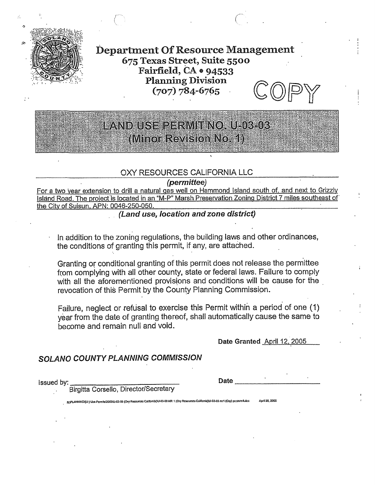

**Department Of Resource Management** 675 Texas Street, Suite 5500 Fairfield,  $CA \bullet 94533$ **Planning Division**  $(707) 784 - 6765$ 

# LANDIUSE PERMITINOAU 103-03 (Minor Revision No. 1)

### OXY RESOURCES CALIFORNIA LLC

#### (permittee)

For a two year extension to drill a natural gas well on Hammond Island south of, and next to Grizzly Island Road. The project is located in an "M-P" Marsh Preservation Zoning District 7 miles southeast of the City of Suisun, APN: 0046-250-050.

(Land use, location and zone district)

In addition to the zoning regulations, the building laws and other ordinances, the conditions of granting this permit, if any, are attached.

Granting or conditional granting of this permit does not release the permittee from complying with all other county, state or federal laws. Failure to comply with all the aforementioned provisions and conditions will be cause for the revocation of this Permit by the County Planning Commission.

Failure, neglect or refusal to exercise this Permit within a period of one (1) year from the date of granting thereof, shall automatically cause the same to become and remain null and void.

Date Granted April 12, 2005

# **SOLANO COUNTY PLANNING COMMISSION**

**Issued by:** 

Date

Birgitta Corsello, Director/Secretary

April 26, 2005 3421 ANNINGVIL-I Lisa Permisi20031LL03-03 (Oxy Resources California)W-03-03 MR 1 (Oxy Resources California)W-03-03 mr1 (Oxy) pc p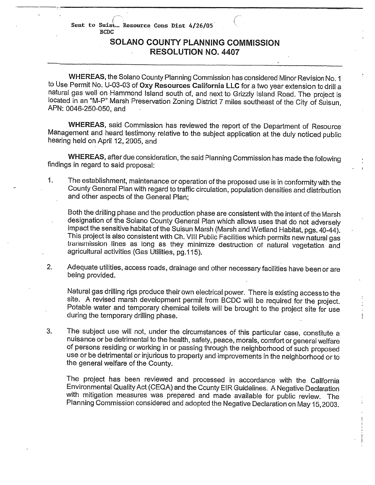Sent to Suist Resource Cons Dist 4/26/05 **BCDC** 

### SOLANO COUNTY PLANNING COMMISSION **RESOLUTION NO. 4407**

WHEREAS, the Solano County Planning Commission has considered Minor Revision No. 1 to Use Permit No. U-03-03 of Oxy Resources California LLC for a two year extension to drill a natural gas well on Hammond Island south of, and next to Grizzly Island Road. The project is located in an "M-P" Marsh Preservation Zoning District 7 miles southeast of the City of Suisun, APN: 0046-250-050, and

WHEREAS, said Commission has reviewed the report of the Department of Resource Management and heard testimony relative to the subject application at the duly noticed public hearing held on April 12, 2005, and

WHEREAS, after due consideration, the said Planning Commission has made the following findings in regard to said proposal:

The establishment, maintenance or operation of the proposed use is in conformity with the  $\mathbf{1}$ . County General Plan with regard to traffic circulation, population densities and distribution and other aspects of the General Plan:

Both the drilling phase and the production phase are consistent with the intent of the Marsh designation of the Solano County General Plan which allows uses that do not adversely impact the sensitive habitat of the Suisun Marsh (Marsh and Wetland Habitat, pgs. 40-44). This project is also consistent with Ch. VIII Public Facilities which permits new natural gas transmission lines as long as they minimize destruction of natural vegetation and agricultural activities (Gas Utilities, pg.115).

 $2.$ Adequate utilities, access roads, drainage and other necessary facilities have been or are being provided.

Natural gas drilling rigs produce their own electrical power. There is existing access to the site. A revised marsh development permit from BCDC will be required for the project. Potable water and temporary chemical toilets will be brought to the project site for use during the temporary drilling phase.

 $3.$ The subject use will not, under the circumstances of this particular case, constitute a nuisance or be detrimental to the health, safety, peace, morals, comfort or general welfare of persons residing or working in or passing through the neighborhood of such proposed use or be detrimental or injurious to property and improvements in the neighborhood or to the general welfare of the County.

The project has been reviewed and processed in accordance with the California Environmental Quality Act (CEQA) and the County EIR Guidelines. A Negative Declaration with mitigation measures was prepared and made available for public review. The Planning Commission considered and adopted the Negative Declaration on May 15, 2003.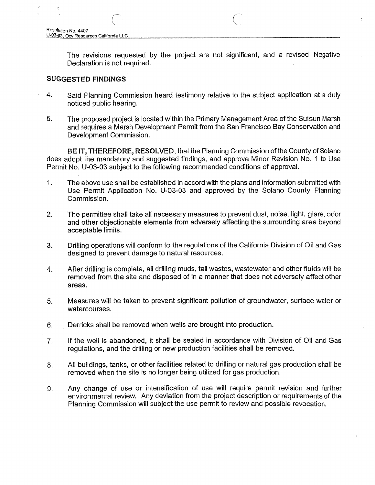The revisions requested by the project are not significant, and a revised Negative Declaration is not required.

#### **SUGGESTED FINDINGS**

- 4. Said Planning Commission heard testimony relative to the subject application at a duly noticed public hearing.
- 5. The proposed project is located within the Primary Management Area of the Suisun Marsh and requires a Marsh Development Permit from the San Francisco Bay Conservation and Development Commission.

BE IT, THEREFORE, RESOLVED, that the Planning Commission of the County of Solano does adopt the mandatory and suggested findings, and approve Minor Revision No. 1 to Use Permit No. U-03-03 subject to the following recommended conditions of approval.

- The above use shall be established in accord with the plans and information submitted with 1. Use Permit Application No. U-03-03 and approved by the Solano County Planning Commission.
- 2. The permittee shall take all necessary measures to prevent dust, noise, light, glare, odor and other objectionable elements from adversely affecting the surrounding area beyond acceptable limits.
- $3.$ Drilling operations will conform to the regulations of the California Division of Oil and Gas designed to prevent damage to natural resources.
- $4.$ After drilling is complete, all drilling muds, tail wastes, wastewater and other fluids will be removed from the site and disposed of in a manner that does not adversely affect other areas.
- 5. Measures will be taken to prevent significant pollution of groundwater, surface water or watercourses.
- Derricks shall be removed when wells are brought into production. 6.
- If the well is abandoned, it shall be sealed in accordance with Division of Oil and Gas  $7.$ requiations, and the drilling or new production facilities shall be removed.
- All buildings, tanks, or other facilities related to drilling or natural gas production shall be 8. removed when the site is no longer being utilized for gas production.
- Any change of use or intensification of use will require permit revision and further 9. environmental review. Any deviation from the project description or requirements of the Planning Commission will subject the use permit to review and possible revocation.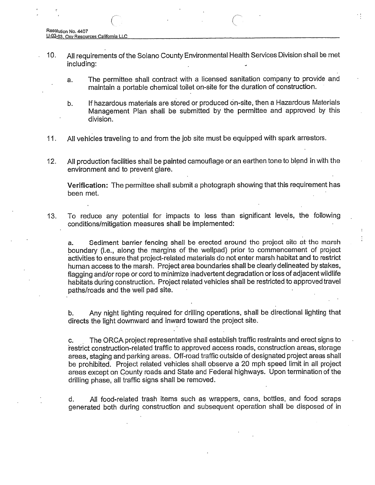- $10.$ All requirements of the Solano County Environmental Health Services Division shall be met including:
	- The permittee shall contract with a licensed sanitation company to provide and a. maintain a portable chemical toilet on-site for the duration of construction.
	- If hazardous materials are stored or produced on-site, then a Hazardous Materials b. Management Plan shall be submitted by the permittee and approved by this division.
- All vehicles traveling to and from the job site must be equipped with spark arrestors. 11.
- $12.$ All production facilities shall be painted camouflage or an earthen tone to blend in with the environment and to prevent glare.

Verification: The permittee shall submit a photograph showing that this requirement has been met.

To reduce any potential for impacts to less than significant levels, the following  $13.$ conditions/mitigation measures shall be implemented:

Sediment barrier fencing shall be erected around the project site at the marsh a. boundary (i.e., along the margins of the wellpad) prior to commencement of project activities to ensure that project-related materials do not enter marsh habitat and to restrict human access to the marsh. Project area boundaries shall be clearly delineated by stakes, flagging and/or rope or cord to minimize inadvertent degradation or loss of adjacent wildlife habitats during construction. Project related vehicles shall be restricted to approved travel paths/roads and the well pad site.

Any night lighting required for drilling operations, shall be directional lighting that b. directs the light downward and inward toward the project site.

The ORCA project representative shall establish traffic restraints and erect signs to C. restrict construction-related traffic to approved access roads, construction areas, storage areas, staging and parking areas. Off-road traffic outside of designated project areas shall be prohibited. Project related vehicles shall observe a 20 mph speed limit in all project areas except on County roads and State and Federal highways. Upon termination of the drilling phase, all traffic signs shall be removed.

All food-related trash items such as wrappers, cans, bottles, and food scraps d. generated both during construction and subsequent operation shall be disposed of in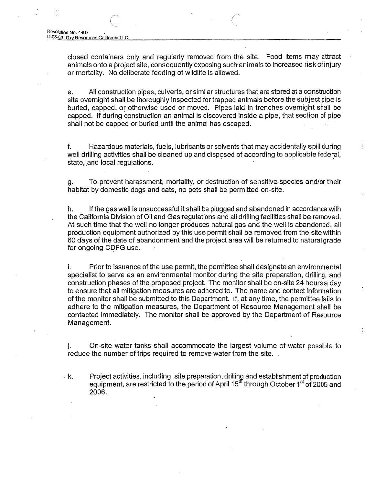closed containers only and regularly removed from the site. Food items may attract animals onto a project site, consequently exposing such animals to increased risk of injury or mortality. No deliberate feeding of wildlife is allowed.

All construction pipes, culverts, or similar structures that are stored at a construction e. site overnight shall be thoroughly inspected for trapped animals before the subject pipe is buried, capped, or otherwise used or moved. Pipes laid in trenches overnight shall be capped. If during construction an animal is discovered inside a pipe, that section of pipe shall not be capped or buried until the animal has escaped.

Hazardous materials, fuels, lubricants or solvents that may accidentally spill during f. well drilling activities shall be cleaned up and disposed of according to applicable federal, state, and local regulations.

To prevent harassment, mortality, or destruction of sensitive species and/or their g. habitat by domestic dogs and cats, no pets shall be permitted on-site.

h. If the gas well is unsuccessful it shall be plugged and abandoned in accordance with the California Division of Oil and Gas regulations and all drilling facilities shall be removed. At such time that the well no longer produces natural gas and the well is abandoned, all production equipment authorized by this use permit shall be removed from the site within 60 days of the date of abandonment and the project area will be returned to natural grade for ongoing CDFG use.

i. Prior to issuance of the use permit, the permittee shall designate an environmental specialist to serve as an environmental monitor during the site preparation, drilling, and construction phases of the proposed project. The monitor shall be on-site 24 hours a day to ensure that all mitigation measures are adhered to. The name and contact information of the monitor shall be submitted to this Department. If, at any time, the permittee fails to adhere to the mitigation measures, the Department of Resource Management shall be contacted immediately. The monitor shall be approved by the Department of Resource Management.

On-site water tanks shall accommodate the largest volume of water possible to j. reduce the number of trips required to remove water from the site.

. k. Project activities, including, site preparation, drilling and establishment of production equipment, are restricted to the period of April 15<sup>th</sup> through October 1<sup>st</sup> of 2005 and 2006.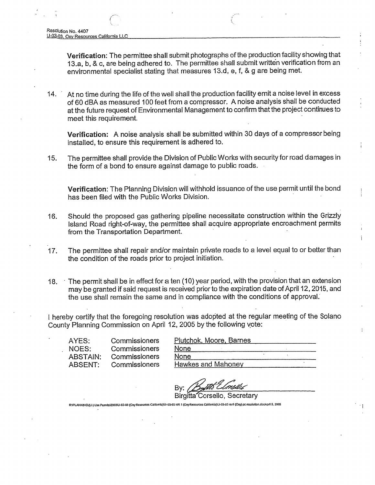Verification: The permittee shall submit photographs of the production facility showing that 13.a, b, & c, are being adhered to. The permittee shall submit written verification from an environmental specialist stating that measures 13.d, e, f, & g are being met.

At no time during the life of the well shall the production facility emit a noise level in excess  $14.$ of 60 dBA as measured 100 feet from a compressor. A noise analysis shall be conducted at the future request of Environmental Management to confirm that the project continues to meet this requirement.

Verification: A noise analysis shall be submitted within 30 days of a compressor being installed, to ensure this requirement is adhered to.

The permittee shall provide the Division of Public Works with security for road damages in 15. the form of a bond to ensure against damage to public roads.

Verification: The Planning Division will withhold issuance of the use permit until the bond has been filed with the Public Works Division.

- Should the proposed gas gathering pipeline necessitate construction within the Grizzly 16. Island Road right-of-way, the permittee shall acquire appropriate encroachment permits from the Transportation Department.
- The permittee shall repair and/or maintain private roads to a level equal to or better than  $17.$ the condition of the roads prior to project initiation.
- The permit shall be in effect for a ten (10) year period, with the provision that an extension  $18.$ may be granted if said reguest is received prior to the expiration date of April 12, 2015, and the use shall remain the same and in compliance with the conditions of approval.

I hereby certify that the foregoing resolution was adopted at the regular meeting of the Solano County Planning Commission on April 12, 2005 by the following vote:

AYES: NOES: **ABSTAIN: ABSENT:** 

Commissioners Commissioners Commissioners Commissioners

**Birgitta** orsello, Secretary RAPLANNINGULI-) Use Permits\2003\U-03-03 (Oxy Resources California)\U-03-03 MR 1 (Oxy Resources California)\U-03-03 mr1 (Oxy) pc resolution.docApril 5, 2005